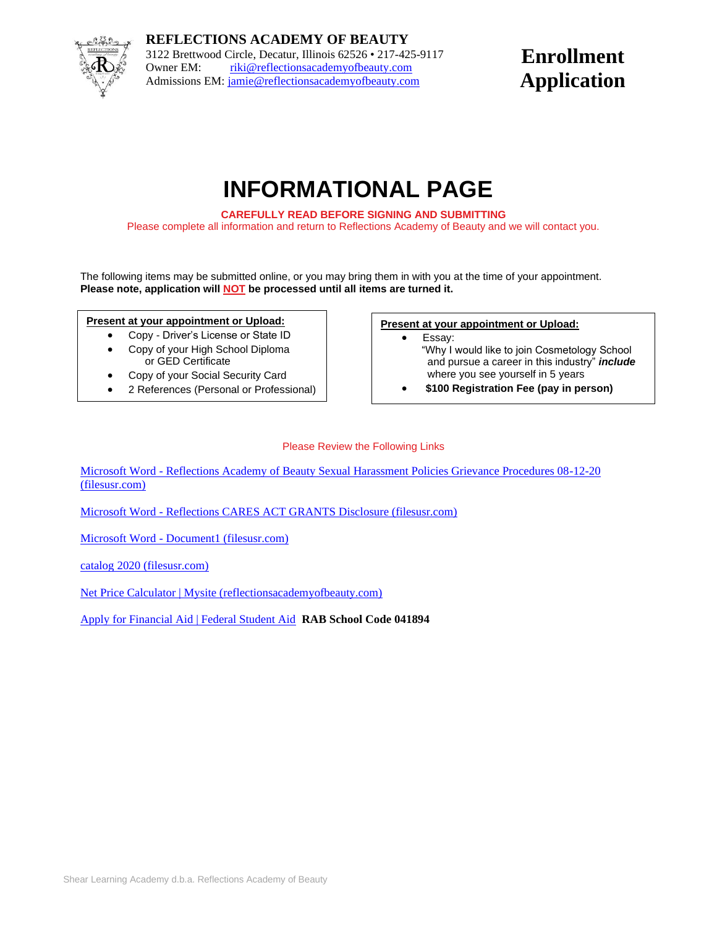

**REFLECTIONS ACADEMY OF BEAUTY** 3122 Brettwood Circle, Decatur, Illinois 62526 • 217-425-9117 Owner EM: [riki@reflectionsacademyofbeauty.com](mailto:riki@reflectionsacademyofbeauty.com) Admissions EM[: jamie@reflectionsacademyofbeauty.com](mailto:jamie@reflectionsacademyofbeauty.com)

## **Enrollment Application**

# **INFORMATIONAL PAGE**

**CAREFULLY READ BEFORE SIGNING AND SUBMITTING**

Please complete all information and return to Reflections Academy of Beauty and we will contact you.

The following items may be submitted online, or you may bring them in with you at the time of your appointment. **Please note, application will NOT be processed until all items are turned it.**

### **Present at your appointment or Upload:**

- Copy Driver's License or State ID
- Copy of your High School Diploma or GED Certificate
- Copy of your Social Security Card
- 2 References (Personal or Professional)

#### **Present at your appointment or Upload:**

- Essay:
	- "Why I would like to join Cosmetology School and pursue a career in this industry" *include* where you see yourself in 5 years
	- **\$100 Registration Fee (pay in person)**

### Please Review the Following Links

Microsoft Word - [Reflections Academy of Beauty Sexual Harassment Policies Grievance Procedures 08-12-20](https://a9af4933-4cd9-4d8e-aaea-2240484f3ef8.filesusr.com/ugd/a6c5e4_d1bd6e59c0394b3996f04759caa9a307.pdf)  [\(filesusr.com\)](https://a9af4933-4cd9-4d8e-aaea-2240484f3ef8.filesusr.com/ugd/a6c5e4_d1bd6e59c0394b3996f04759caa9a307.pdf)

Microsoft Word - [Reflections CARES ACT GRANTS Disclosure \(filesusr.com\)](https://a9af4933-4cd9-4d8e-aaea-2240484f3ef8.filesusr.com/ugd/a6c5e4_ad17b1613db8440793d1ba402abf8536.pdf)

Microsoft Word - [Document1 \(filesusr.com\)](https://a9af4933-4cd9-4d8e-aaea-2240484f3ef8.filesusr.com/ugd/a6c5e4_d8feedae9610450cbd8b5e8331cda389.pdf)

[catalog 2020 \(filesusr.com\)](https://a9af4933-4cd9-4d8e-aaea-2240484f3ef8.filesusr.com/ugd/a6c5e4_72630705698f46aab8a8cb4acfcbd8c2.pdf)

[Net Price Calculator | Mysite \(reflectionsacademyofbeauty.com\)](https://www.reflectionsacademyofbeauty.com/school-calculator)

[Apply for Financial Aid | Federal Student Aid](https://studentaid.gov/h/apply-for-aid/fafsa) **RAB School Code 041894**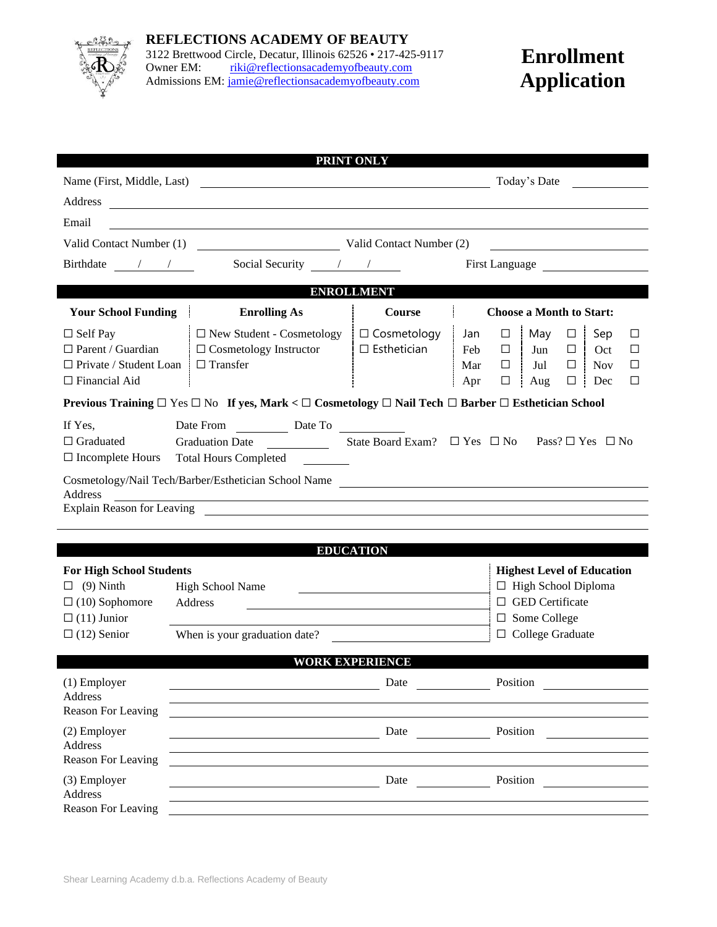

# **Enrollment Application**

|                                                                                                                                                                                                                                                                                                                                                                                                     |                                                                                                                                   | PRINT ONLY                                                                                                                                  |                                                                                                                                                                                                                                         |  |  |  |
|-----------------------------------------------------------------------------------------------------------------------------------------------------------------------------------------------------------------------------------------------------------------------------------------------------------------------------------------------------------------------------------------------------|-----------------------------------------------------------------------------------------------------------------------------------|---------------------------------------------------------------------------------------------------------------------------------------------|-----------------------------------------------------------------------------------------------------------------------------------------------------------------------------------------------------------------------------------------|--|--|--|
| Name (First, Middle, Last)                                                                                                                                                                                                                                                                                                                                                                          | <u> 1989 - Johann Barbara, martin amerikan basar dan berasal dan berasal dalam basar dalam basar dalam basar dala</u>             |                                                                                                                                             | Today's Date                                                                                                                                                                                                                            |  |  |  |
| Address                                                                                                                                                                                                                                                                                                                                                                                             | <u> 1989 - Johann Harry Harry Harry Harry Harry Harry Harry Harry Harry Harry Harry Harry Harry Harry Harry Harry</u>             |                                                                                                                                             |                                                                                                                                                                                                                                         |  |  |  |
| Email                                                                                                                                                                                                                                                                                                                                                                                               |                                                                                                                                   |                                                                                                                                             |                                                                                                                                                                                                                                         |  |  |  |
|                                                                                                                                                                                                                                                                                                                                                                                                     | Valid Contact Number (1) Valid Contact Number (2)                                                                                 |                                                                                                                                             | <u> 1990 - John Stein, Amerikaansk politiker (</u>                                                                                                                                                                                      |  |  |  |
| Birthdate $\frac{1}{\sqrt{1-\frac{1}{2}}}$                                                                                                                                                                                                                                                                                                                                                          | Social Security $\frac{\ }{\ }$ / / ______                                                                                        |                                                                                                                                             | First Language                                                                                                                                                                                                                          |  |  |  |
| <b>ENROLLMENT</b>                                                                                                                                                                                                                                                                                                                                                                                   |                                                                                                                                   |                                                                                                                                             |                                                                                                                                                                                                                                         |  |  |  |
|                                                                                                                                                                                                                                                                                                                                                                                                     |                                                                                                                                   |                                                                                                                                             |                                                                                                                                                                                                                                         |  |  |  |
| <b>Your School Funding</b><br>$\Box$ Self Pay<br>$\Box$ Parent / Guardian<br>$\Box$ Private / Student Loan<br>$\Box$ Financial Aid                                                                                                                                                                                                                                                                  | <b>Enrolling As</b><br>$\Box$ New Student - Cosmetology<br>$\Box$ Cosmetology Instructor<br>$\Box$ Transfer                       | <b>Course</b><br>$\Box$ Cosmetology<br>$\square$ Esthetician                                                                                | <b>Choose a Month to Start:</b><br>Jan<br>May $\square$<br>Sep<br>$\Box$<br>$\Box$<br>÷<br>Feb<br>$\Box$<br>Jun<br>□<br>Oct<br>□<br>Mar<br>Jul<br>$\Box$<br>□<br><b>Nov</b><br>□<br>$\Box$<br>Aug<br>$\Box$<br>$\vdots$ Dec<br>□<br>Apr |  |  |  |
|                                                                                                                                                                                                                                                                                                                                                                                                     | Previous Training $\Box$ Yes $\Box$ No If yes, Mark < $\Box$ Cosmetology $\Box$ Nail Tech $\Box$ Barber $\Box$ Esthetician School |                                                                                                                                             |                                                                                                                                                                                                                                         |  |  |  |
| If Yes,<br>Date From Date To Date To<br>Graduation Date State Board Exam? $\Box$ Yes $\Box$ No Pass? $\Box$ Yes $\Box$ No<br>$\Box$ Graduated<br>$\Box$ Incomplete Hours<br><b>Total Hours Completed</b><br>Cosmetology/Nail Tech/Barber/Esthetician School Name<br>Address<br><u> 1989 - Johann Barn, amerikan bernama di sebagai bernama dan bernama di sebagai bernama dalam bernama dalam b</u> |                                                                                                                                   |                                                                                                                                             |                                                                                                                                                                                                                                         |  |  |  |
|                                                                                                                                                                                                                                                                                                                                                                                                     |                                                                                                                                   |                                                                                                                                             |                                                                                                                                                                                                                                         |  |  |  |
|                                                                                                                                                                                                                                                                                                                                                                                                     |                                                                                                                                   |                                                                                                                                             |                                                                                                                                                                                                                                         |  |  |  |
| <b>EDUCATION</b>                                                                                                                                                                                                                                                                                                                                                                                    |                                                                                                                                   |                                                                                                                                             |                                                                                                                                                                                                                                         |  |  |  |
| <b>For High School Students</b><br>$(9)$ Ninth<br>ப<br>$\Box$ (10) Sophomore<br>$\Box$ (11) Junior<br>$\Box$ (12) Senior                                                                                                                                                                                                                                                                            | <b>High School Name</b><br>Address<br>When is your graduation date?                                                               | <b>Highest Level of Education</b><br>$\Box$ High School Diploma<br>$\Box$ GED Certificate<br>$\Box$ Some College<br>$\Box$ College Graduate |                                                                                                                                                                                                                                         |  |  |  |
|                                                                                                                                                                                                                                                                                                                                                                                                     |                                                                                                                                   | <b>WORK EXPERIENCE</b>                                                                                                                      |                                                                                                                                                                                                                                         |  |  |  |
| $(1)$ Employer<br>Address<br>Reason For Leaving                                                                                                                                                                                                                                                                                                                                                     |                                                                                                                                   | Date                                                                                                                                        | Position                                                                                                                                                                                                                                |  |  |  |
| (2) Employer<br>Address<br>Reason For Leaving                                                                                                                                                                                                                                                                                                                                                       |                                                                                                                                   | Date                                                                                                                                        | Position                                                                                                                                                                                                                                |  |  |  |
| (3) Employer<br>Address<br>Reason For Leaving                                                                                                                                                                                                                                                                                                                                                       |                                                                                                                                   | Date                                                                                                                                        | Position                                                                                                                                                                                                                                |  |  |  |